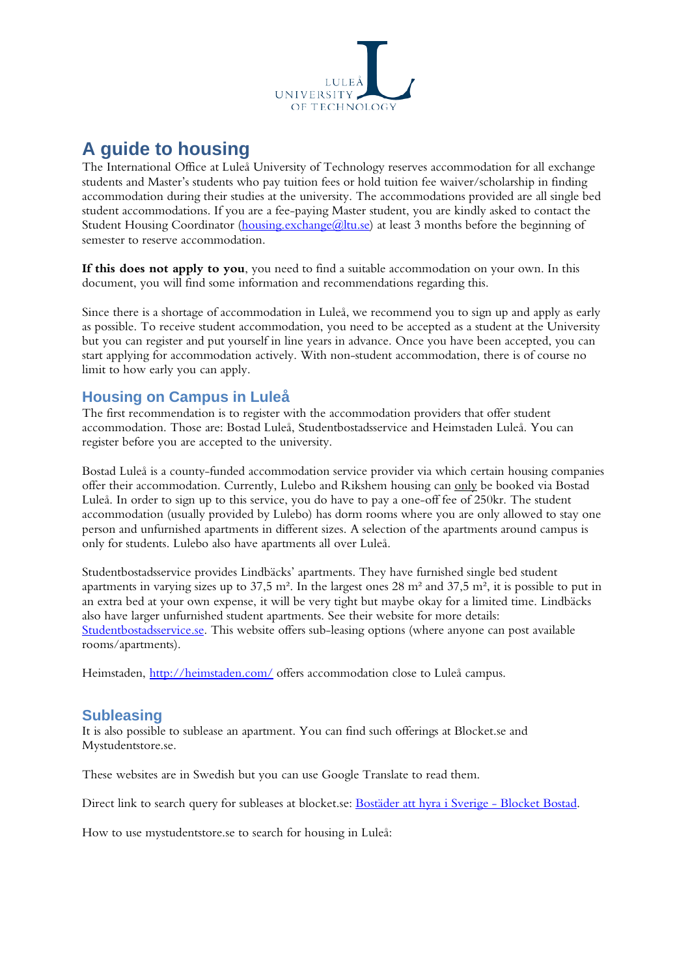

# **A guide to housing**

The International Office at Luleå University of Technology reserves accommodation for all exchange students and Master's students who pay tuition fees or hold tuition fee waiver/scholarship in finding accommodation during their studies at the university. The accommodations provided are all single bed student accommodations. If you are a fee-paying Master student, you are kindly asked to contact the Student Housing Coordinator [\(housing.exchange@ltu.se\)](mailto:housing.exchange@ltu.se) at least 3 months before the beginning of semester to reserve accommodation.

**If this does not apply to you**, you need to find a suitable accommodation on your own. In this document, you will find some information and recommendations regarding this.

Since there is a shortage of accommodation in Luleå, we recommend you to sign up and apply as early as possible. To receive student accommodation, you need to be accepted as a student at the University but you can register and put yourself in line years in advance. Once you have been accepted, you can start applying for accommodation actively. With non-student accommodation, there is of course no limit to how early you can apply.

## **Housing on Campus in Luleå**

The first recommendation is to register with the accommodation providers that offer student accommodation. Those are: Bostad Luleå, Studentbostadsservice and Heimstaden Luleå. You can register before you are accepted to the university.

Bostad Luleå is a county-funded accommodation service provider via which certain housing companies offer their accommodation. Currently, Lulebo and Rikshem housing can only be booked via Bostad Luleå. In order to sign up to this service, you do have to pay a one-off fee of 250kr. The student accommodation (usually provided by Lulebo) has dorm rooms where you are only allowed to stay one person and unfurnished apartments in different sizes. A selection of the apartments around campus is only for students. Lulebo also have apartments all over Luleå.

Studentbostadsservice provides Lindbäcks' apartments. They have furnished single bed student apartments in varying sizes up to 37,5 m². In the largest ones 28 m² and 37,5 m², it is possible to put in an extra bed at your own expense, it will be very tight but maybe okay for a limited time. Lindbäcks also have larger unfurnished student apartments. See their website for more details: [Studentbostadsservice.se.](http://www.studentbostadsservice.se/) This website offers sub-leasing options (where anyone can post available rooms/apartments).

Heimstaden,<http://heimstaden.com/> offers accommodation close to Luleå campus.

## **Subleasing**

It is also possible to sublease an apartment. You can find such offerings at Blocket.se and Mystudentstore.se.

These websites are in Swedish but you can use Google Translate to read them.

Direct link to search query for subleases at blocket.se: [Bostäder att hyra i Sverige -](http://www.blocket.se/bostad/uthyres?q=&l=0&md=th&ca=1_9&w=1&m=9) Blocket Bostad.

How to use mystudentstore.se to search for housing in Luleå: